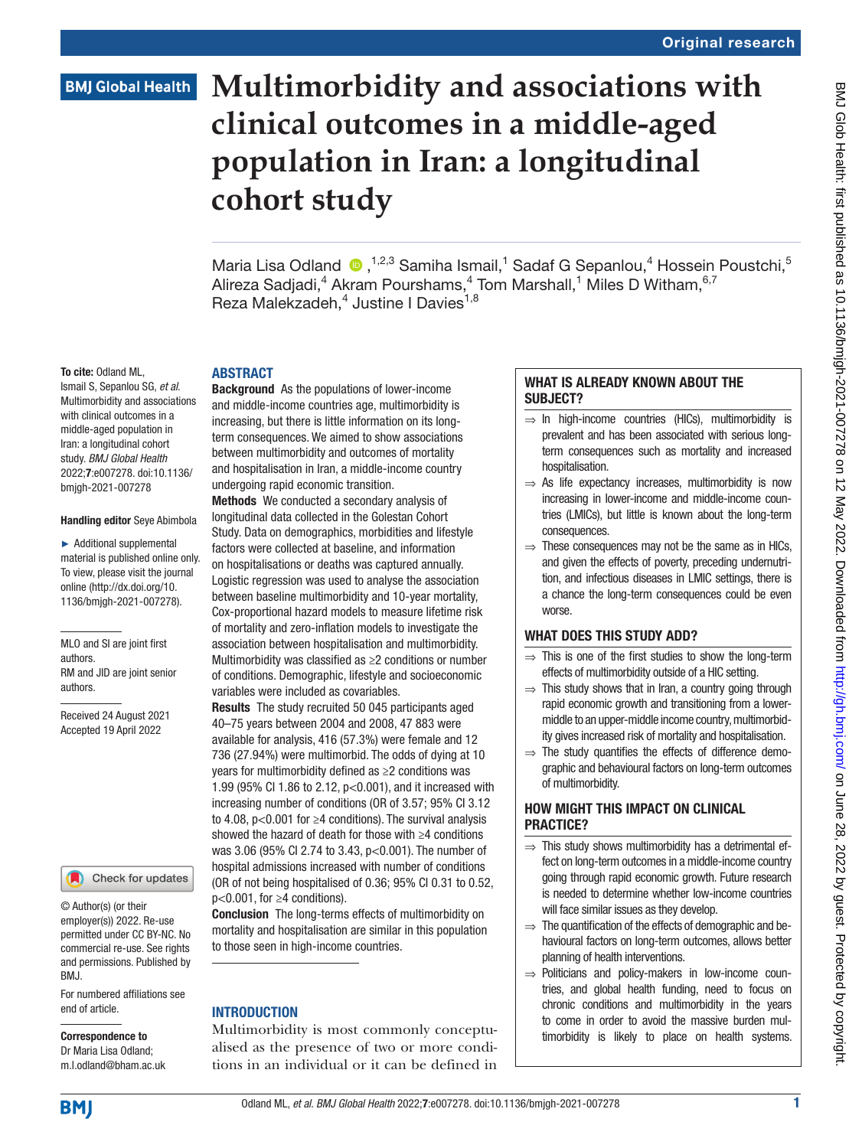### **BMJ Global Health**

# **Multimorbidity and associations with clinical outcomes in a middle-aged population in Iran: a longitudinal cohort study**

Maria Lisa Odland  $\bigcirc$ , <sup>1,2,3</sup> Samiha Ismail,<sup>1</sup> Sadaf G Sepanlou,<sup>4</sup> Hossein Poustchi,<sup>5</sup> Alireza Sadjadi,<sup>4</sup> Akram Pourshams,<sup>4</sup> Tom Marshall,<sup>1</sup> Miles D Witham,<sup>6,7</sup> Reza Malekzadeh,<sup>4</sup> Justine I Davies<sup>1,8</sup>

#### To cite: Odland ML,

Ismail S, Sepanlou SG, *et al*. Multimorbidity and associations with clinical outcomes in a middle-aged population in Iran: a longitudinal cohort study. *BMJ Global Health* 2022;7:e007278. doi:10.1136/ bmjgh-2021-007278

#### Handling editor Seye Abimbola

► Additional supplemental material is published online only. To view, please visit the journal online ([http://dx.doi.org/10.](http://dx.doi.org/10.1136/bmjgh-2021-007278) [1136/bmjgh-2021-007278](http://dx.doi.org/10.1136/bmjgh-2021-007278)).

MLO and SI are joint first authors. RM and JID are joint senior authors.

Received 24 August 2021 Accepted 19 April 2022



© Author(s) (or their employer(s)) 2022. Re-use permitted under CC BY-NC. No commercial re-use. See rights and permissions. Published by BMJ.

For numbered affiliations see end of article.

Correspondence to Dr Maria Lisa Odland; m.l.odland@bham.ac.uk

#### ABSTRACT

Background As the populations of lower-income and middle-income countries age, multimorbidity is increasing, but there is little information on its longterm consequences. We aimed to show associations between multimorbidity and outcomes of mortality and hospitalisation in Iran, a middle-income country undergoing rapid economic transition.

Methods We conducted a secondary analysis of longitudinal data collected in the Golestan Cohort Study. Data on demographics, morbidities and lifestyle factors were collected at baseline, and information on hospitalisations or deaths was captured annually. Logistic regression was used to analyse the association between baseline multimorbidity and 10-year mortality, Cox-proportional hazard models to measure lifetime risk of mortality and zero-inflation models to investigate the association between hospitalisation and multimorbidity. Multimorbidity was classified as ≥2 conditions or number of conditions. Demographic, lifestyle and socioeconomic variables were included as covariables.

Results The study recruited 50 045 participants aged 40–75 years between 2004 and 2008, 47 883 were available for analysis, 416 (57.3%) were female and 12 736 (27.94%) were multimorbid. The odds of dying at 10 years for multimorbidity defined as ≥2 conditions was 1.99 (95% CI 1.86 to 2.12, p<0.001), and it increased with increasing number of conditions (OR of 3.57; 95% CI 3.12 to 4.08, p<0.001 for ≥4 conditions). The survival analysis showed the hazard of death for those with ≥4 conditions was 3.06 (95% CI 2.74 to 3.43, p<0.001). The number of hospital admissions increased with number of conditions (OR of not being hospitalised of 0.36; 95% CI 0.31 to 0.52, p<0.001, for ≥4 conditions).

Conclusion The long-terms effects of multimorbidity on mortality and hospitalisation are similar in this population to those seen in high-income countries.

#### **INTRODUCTION**

Multimorbidity is most commonly conceptualised as the presence of two or more conditions in an individual or it can be defined in

#### WHAT IS ALREADY KNOWN ABOUT THE SUBJECT?

- $\Rightarrow$  In high-income countries (HICs), multimorbidity is prevalent and has been associated with serious longterm consequences such as mortality and increased hospitalisation.
- $\Rightarrow$  As life expectancy increases, multimorbidity is now increasing in lower-income and middle-income countries (LMICs), but little is known about the long-term consequences.
- $\Rightarrow$  These consequences may not be the same as in HICs, and given the effects of poverty, preceding undernutrition, and infectious diseases in LMIC settings, there is a chance the long-term consequences could be even worse.

#### WHAT DOES THIS STUDY ADD?

- $\Rightarrow$  This is one of the first studies to show the long-term effects of multimorbidity outside of a HIC setting.
- $\Rightarrow$  This study shows that in Iran, a country going through rapid economic growth and transitioning from a lowermiddle to an upper-middle income country, multimorbidity gives increased risk of mortality and hospitalisation.
- $\Rightarrow$  The study quantifies the effects of difference demographic and behavioural factors on long-term outcomes of multimorbidity.

#### HOW MIGHT THIS IMPACT ON CLINICAL PRACTICE?

- ⇒ This study shows multimorbidity has a detrimental effect on long-term outcomes in a middle-income country going through rapid economic growth. Future research is needed to determine whether low-income countries will face similar issues as they develop.
- $\Rightarrow$  The quantification of the effects of demographic and behavioural factors on long-term outcomes, allows better planning of health interventions.
- ⇒ Politicians and policy-makers in low-income countries, and global health funding, need to focus on chronic conditions and multimorbidity in the years to come in order to avoid the massive burden multimorbidity is likely to place on health systems.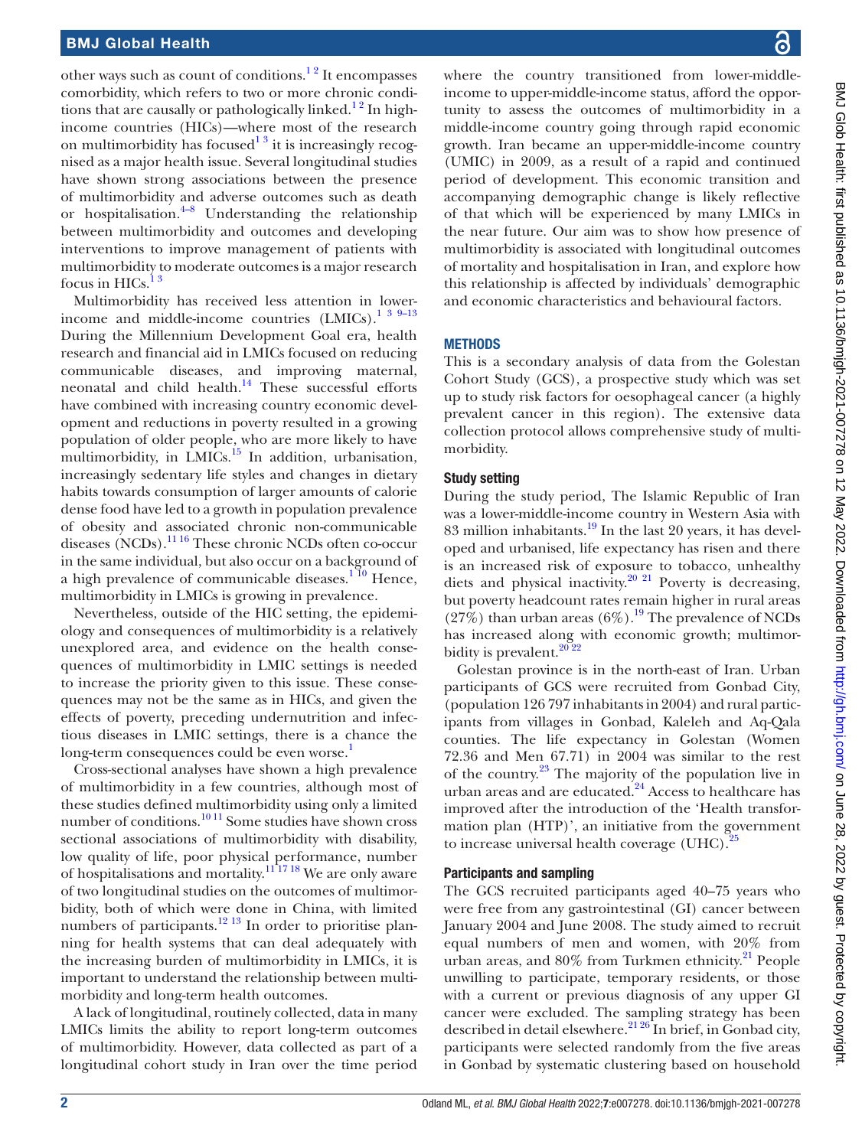other ways such as count of conditions.<sup>12</sup> It encompasses comorbidity, which refers to two or more chronic conditions that are causally or pathologically linked.<sup>12</sup> In highincome countries (HICs)—where most of the research on multimorbidity has focused<sup>13</sup> it is increasingly recognised as a major health issue. Several longitudinal studies have shown strong associations between the presence of multimorbidity and adverse outcomes such as death or hospitalisation. $4-8$  Understanding the relationship between multimorbidity and outcomes and developing interventions to improve management of patients with multimorbidity to moderate outcomes is a major research focus in  $HICs.$ <sup>13</sup>

Multimorbidity has received less attention in lowerincome and middle-income countries  $(LMICs)$ .<sup>1 3 9-13</sup> During the Millennium Development Goal era, health research and financial aid in LMICs focused on reducing communicable diseases, and improving maternal, neonatal and child health.<sup>14</sup> These successful efforts have combined with increasing country economic development and reductions in poverty resulted in a growing population of older people, who are more likely to have multimorbidity, in  $LMICs$ <sup>15</sup> In addition, urbanisation, increasingly sedentary life styles and changes in dietary habits towards consumption of larger amounts of calorie dense food have led to a growth in population prevalence of obesity and associated chronic non-communicable diseases (NCDs).[11 16](#page-12-4) These chronic NCDs often co-occur in the same individual, but also occur on a background of a high prevalence of communicable diseases. $1^{10}$  Hence, multimorbidity in LMICs is growing in prevalence.

Nevertheless, outside of the HIC setting, the epidemiology and consequences of multimorbidity is a relatively unexplored area, and evidence on the health consequences of multimorbidity in LMIC settings is needed to increase the priority given to this issue. These consequences may not be the same as in HICs, and given the effects of poverty, preceding undernutrition and infectious diseases in LMIC settings, there is a chance the long-term consequences could be even worse.<sup>[1](#page-12-0)</sup>

Cross-sectional analyses have shown a high prevalence of multimorbidity in a few countries, although most of these studies defined multimorbidity using only a limited number of conditions.<sup>[10 11](#page-12-5)</sup> Some studies have shown cross sectional associations of multimorbidity with disability, low quality of life, poor physical performance, number of hospitalisations and mortality[.11 17 18](#page-12-4) We are only aware of two longitudinal studies on the outcomes of multimorbidity, both of which were done in China, with limited numbers of participants.<sup>12 13</sup> In order to prioritise planning for health systems that can deal adequately with the increasing burden of multimorbidity in LMICs, it is important to understand the relationship between multimorbidity and long-term health outcomes.

A lack of longitudinal, routinely collected, data in many LMICs limits the ability to report long-term outcomes of multimorbidity. However, data collected as part of a longitudinal cohort study in Iran over the time period

where the country transitioned from lower-middleincome to upper-middle-income status, afford the opportunity to assess the outcomes of multimorbidity in a middle-income country going through rapid economic growth. Iran became an upper-middle-income country (UMIC) in 2009, as a result of a rapid and continued period of development. This economic transition and accompanying demographic change is likely reflective of that which will be experienced by many LMICs in the near future. Our aim was to show how presence of multimorbidity is associated with longitudinal outcomes of mortality and hospitalisation in Iran, and explore how this relationship is affected by individuals' demographic and economic characteristics and behavioural factors.

#### **METHODS**

This is a secondary analysis of data from the Golestan Cohort Study (GCS), a prospective study which was set up to study risk factors for oesophageal cancer (a highly prevalent cancer in this region). The extensive data collection protocol allows comprehensive study of multimorbidity.

#### Study setting

During the study period, The Islamic Republic of Iran was a lower-middle-income country in Western Asia with 83 million inhabitants.<sup>19</sup> In the last 20 years, it has developed and urbanised, life expectancy has risen and there is an increased risk of exposure to tobacco, unhealthy diets and physical inactivity.<sup>20 21</sup> Poverty is decreasing, but poverty headcount rates remain higher in rural areas  $(27\%)$  than urban areas  $(6\%)$ .<sup>19</sup> The prevalence of NCDs has increased along with economic growth; multimorbidity is prevalent.<sup>2022</sup>

Golestan province is in the north-east of Iran. Urban participants of GCS were recruited from Gonbad City, (population 126 797 inhabitants in 2004) and rural participants from villages in Gonbad, Kaleleh and Aq-Qala counties. The life expectancy in Golestan (Women 72.36 and Men 67.71) in 2004 was similar to the rest of the country.[23](#page-13-2) The majority of the population live in urban areas and are educated.<sup>24</sup> Access to healthcare has improved after the introduction of the 'Health transformation plan (HTP)', an initiative from the government to increase universal health coverage (UHC).<sup>[25](#page-13-4)</sup>

#### Participants and sampling

The GCS recruited participants aged 40–75 years who were free from any gastrointestinal (GI) cancer between January 2004 and June 2008. The study aimed to recruit equal numbers of men and women, with 20% from urban areas, and  $80\%$  from Turkmen ethnicity.<sup>[21](#page-13-5)</sup> People unwilling to participate, temporary residents, or those with a current or previous diagnosis of any upper GI cancer were excluded. The sampling strategy has been described in detail elsewhere.<sup>21 26</sup> In brief, in Gonbad city, participants were selected randomly from the five areas in Gonbad by systematic clustering based on household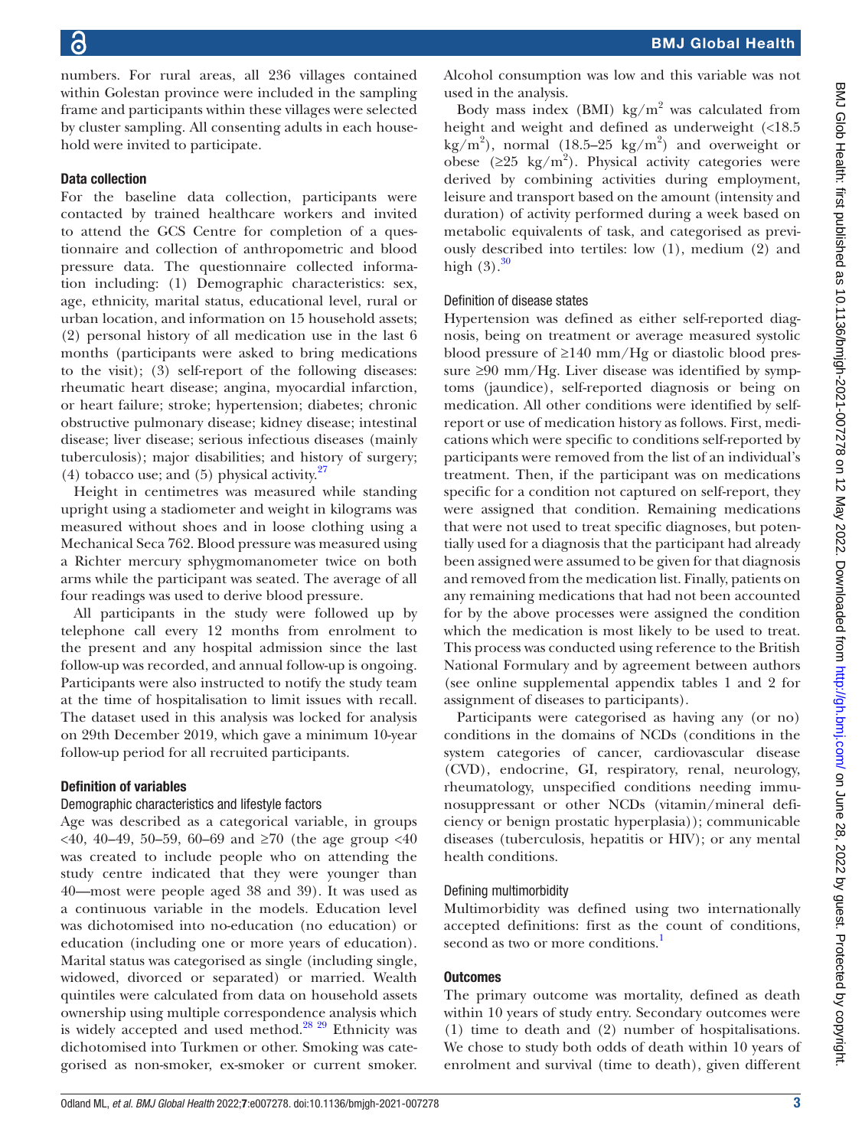numbers. For rural areas, all 236 villages contained within Golestan province were included in the sampling frame and participants within these villages were selected by cluster sampling. All consenting adults in each household were invited to participate.

#### Data collection

For the baseline data collection, participants were contacted by trained healthcare workers and invited to attend the GCS Centre for completion of a questionnaire and collection of anthropometric and blood pressure data. The questionnaire collected information including: (1) Demographic characteristics: sex, age, ethnicity, marital status, educational level, rural or urban location, and information on 15 household assets; (2) personal history of all medication use in the last 6 months (participants were asked to bring medications to the visit); (3) self-report of the following diseases: rheumatic heart disease; angina, myocardial infarction, or heart failure; stroke; hypertension; diabetes; chronic obstructive pulmonary disease; kidney disease; intestinal disease; liver disease; serious infectious diseases (mainly tuberculosis); major disabilities; and history of surgery; (4) tobacco use; and (5) physical activity. $27$ 

Height in centimetres was measured while standing upright using a stadiometer and weight in kilograms was measured without shoes and in loose clothing using a Mechanical Seca 762. Blood pressure was measured using a Richter mercury sphygmomanometer twice on both arms while the participant was seated. The average of all four readings was used to derive blood pressure.

All participants in the study were followed up by telephone call every 12 months from enrolment to the present and any hospital admission since the last follow-up was recorded, and annual follow-up is ongoing. Participants were also instructed to notify the study team at the time of hospitalisation to limit issues with recall. The dataset used in this analysis was locked for analysis on 29th December 2019, which gave a minimum 10-year follow-up period for all recruited participants.

#### Definition of variables

#### Demographic characteristics and lifestyle factors

Age was described as a categorical variable, in groups <40, 40–49, 50–59, 60–69 and ≥70 (the age group <40 was created to include people who on attending the study centre indicated that they were younger than 40—most were people aged 38 and 39). It was used as a continuous variable in the models. Education level was dichotomised into no-education (no education) or education (including one or more years of education). Marital status was categorised as single (including single, widowed, divorced or separated) or married. Wealth quintiles were calculated from data on household assets ownership using multiple correspondence analysis which is widely accepted and used method.<sup>28</sup> <sup>29</sup> Ethnicity was dichotomised into Turkmen or other. Smoking was categorised as non-smoker, ex-smoker or current smoker.

Alcohol consumption was low and this variable was not used in the analysis.

Body mass index (BMI)  $\text{kg/m}^2$  was calculated from height and weight and defined as underweight (<18.5  $\text{kg/m}^2$ ), normal (18.5–25 kg/m<sup>2</sup>) and overweight or obese ( $\geq$ 25 kg/m<sup>2</sup>). Physical activity categories were derived by combining activities during employment, leisure and transport based on the amount (intensity and duration) of activity performed during a week based on metabolic equivalents of task, and categorised as previously described into tertiles: low (1), medium (2) and high  $(3).^{30}$ 

#### Definition of disease states

Hypertension was defined as either self-reported diagnosis, being on treatment or average measured systolic blood pressure of ≥140 mm/Hg or diastolic blood pressure  $\geq 90$  mm/Hg. Liver disease was identified by symptoms (jaundice), self-reported diagnosis or being on medication. All other conditions were identified by selfreport or use of medication history as follows. First, medications which were specific to conditions self-reported by participants were removed from the list of an individual's treatment. Then, if the participant was on medications specific for a condition not captured on self-report, they were assigned that condition. Remaining medications that were not used to treat specific diagnoses, but potentially used for a diagnosis that the participant had already been assigned were assumed to be given for that diagnosis and removed from the medication list. Finally, patients on any remaining medications that had not been accounted for by the above processes were assigned the condition which the medication is most likely to be used to treat. This process was conducted using reference to the British National Formulary and by agreement between authors (see [online supplemental appendix tables 1 and 2](https://dx.doi.org/10.1136/bmjgh-2021-007278) for assignment of diseases to participants).

Participants were categorised as having any (or no) conditions in the domains of NCDs (conditions in the system categories of cancer, cardiovascular disease (CVD), endocrine, GI, respiratory, renal, neurology, rheumatology, unspecified conditions needing immunosuppressant or other NCDs (vitamin/mineral deficiency or benign prostatic hyperplasia)); communicable diseases (tuberculosis, hepatitis or HIV); or any mental health conditions.

#### Defining multimorbidity

Multimorbidity was defined using two internationally accepted definitions: first as the count of conditions, second as two or more conditions.<sup>1</sup>

#### **Outcomes**

The primary outcome was mortality, defined as death within 10 years of study entry. Secondary outcomes were (1) time to death and (2) number of hospitalisations. We chose to study both odds of death within 10 years of enrolment and survival (time to death), given different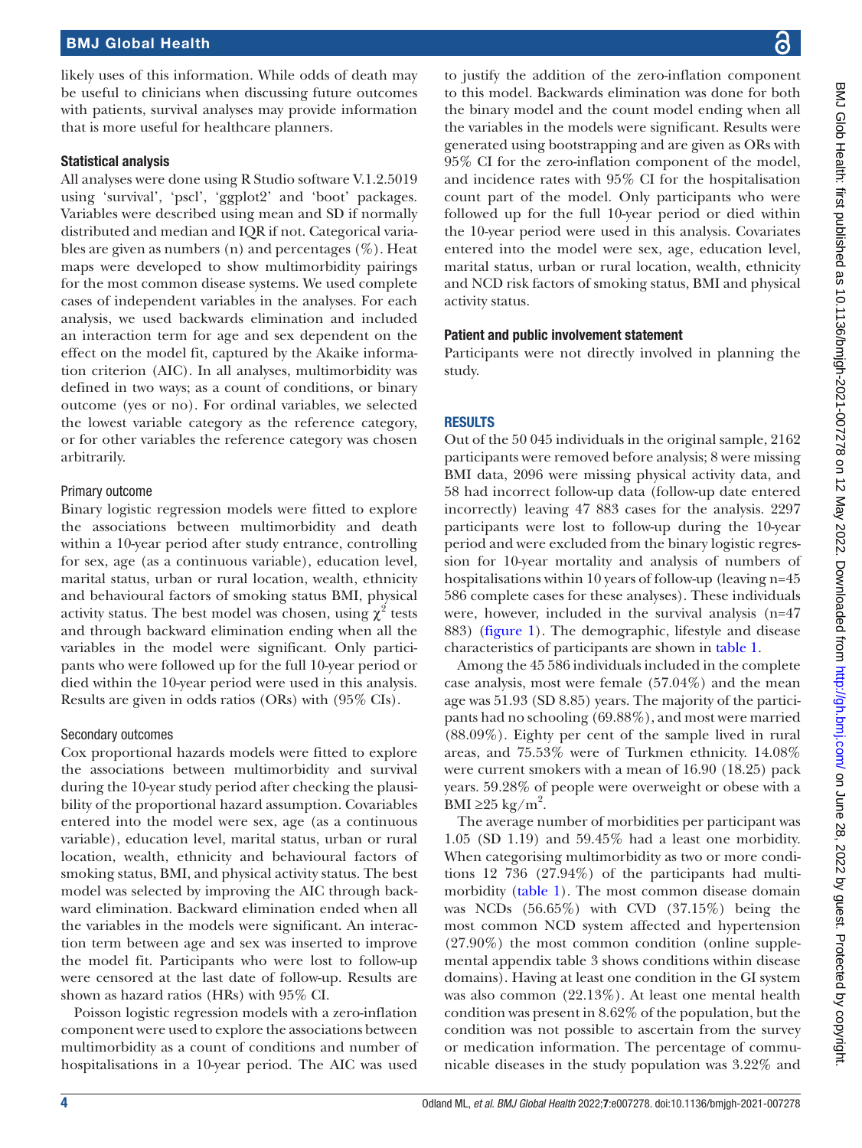likely uses of this information. While odds of death may be useful to clinicians when discussing future outcomes with patients, survival analyses may provide information that is more useful for healthcare planners.

#### Statistical analysis

All analyses were done using R Studio software V.1.2.5019 using 'survival', 'pscl', 'ggplot2' and 'boot' packages. Variables were described using mean and SD if normally distributed and median and IQR if not. Categorical variables are given as numbers (n) and percentages  $(\%)$ . Heat maps were developed to show multimorbidity pairings for the most common disease systems. We used complete cases of independent variables in the analyses. For each analysis, we used backwards elimination and included an interaction term for age and sex dependent on the effect on the model fit, captured by the Akaike information criterion (AIC). In all analyses, multimorbidity was defined in two ways; as a count of conditions, or binary outcome (yes or no). For ordinal variables, we selected the lowest variable category as the reference category, or for other variables the reference category was chosen arbitrarily.

#### Primary outcome

Binary logistic regression models were fitted to explore the associations between multimorbidity and death within a 10-year period after study entrance, controlling for sex, age (as a continuous variable), education level, marital status, urban or rural location, wealth, ethnicity and behavioural factors of smoking status BMI, physical activity status. The best model was chosen, using  $\chi^2$  tests and through backward elimination ending when all the variables in the model were significant. Only participants who were followed up for the full 10-year period or died within the 10-year period were used in this analysis. Results are given in odds ratios (ORs) with (95% CIs).

#### Secondary outcomes

Cox proportional hazards models were fitted to explore the associations between multimorbidity and survival during the 10-year study period after checking the plausibility of the proportional hazard assumption. Covariables entered into the model were sex, age (as a continuous variable), education level, marital status, urban or rural location, wealth, ethnicity and behavioural factors of smoking status, BMI, and physical activity status. The best model was selected by improving the AIC through backward elimination. Backward elimination ended when all the variables in the models were significant. An interaction term between age and sex was inserted to improve the model fit. Participants who were lost to follow-up were censored at the last date of follow-up. Results are shown as hazard ratios (HRs) with 95% CI.

Poisson logistic regression models with a zero-inflation component were used to explore the associations between multimorbidity as a count of conditions and number of hospitalisations in a 10-year period. The AIC was used

to justify the addition of the zero-inflation component to this model. Backwards elimination was done for both the binary model and the count model ending when all the variables in the models were significant. Results were generated using bootstrapping and are given as ORs with 95% CI for the zero-inflation component of the model, and incidence rates with 95% CI for the hospitalisation count part of the model. Only participants who were followed up for the full 10-year period or died within the 10-year period were used in this analysis. Covariates entered into the model were sex, age, education level, marital status, urban or rural location, wealth, ethnicity and NCD risk factors of smoking status, BMI and physical activity status.

#### Patient and public involvement statement

Participants were not directly involved in planning the study.

#### **RESULTS**

Out of the 50 045 individuals in the original sample, 2162 participants were removed before analysis; 8 were missing BMI data, 2096 were missing physical activity data, and 58 had incorrect follow-up data (follow-up date entered incorrectly) leaving 47 883 cases for the analysis. 2297 participants were lost to follow-up during the 10-year period and were excluded from the binary logistic regression for 10-year mortality and analysis of numbers of hospitalisations within 10 years of follow-up (leaving n=45 586 complete cases for these analyses). These individuals were, however, included in the survival analysis (n=47 883) [\(figure](#page-4-0) 1). The demographic, lifestyle and disease characteristics of participants are shown in [table](#page-5-0) 1.

Among the 45 586 individuals included in the complete case analysis, most were female (57.04%) and the mean age was 51.93 (SD 8.85) years. The majority of the participants had no schooling (69.88%), and most were married (88.09%). Eighty per cent of the sample lived in rural areas, and 75.53% were of Turkmen ethnicity. 14.08% were current smokers with a mean of 16.90 (18.25) pack years. 59.28% of people were overweight or obese with a BMI ≥25 kg/m<sup>2</sup>.

The average number of morbidities per participant was 1.05 (SD 1.19) and 59.45% had a least one morbidity. When categorising multimorbidity as two or more conditions 12 736 (27.94%) of the participants had multimorbidity [\(table](#page-5-0) 1). The most common disease domain was NCDs (56.65%) with CVD (37.15%) being the most common NCD system affected and hypertension (27.90%) the most common condition ([online supple](https://dx.doi.org/10.1136/bmjgh-2021-007278)[mental appendix table 3](https://dx.doi.org/10.1136/bmjgh-2021-007278) shows conditions within disease domains). Having at least one condition in the GI system was also common (22.13%). At least one mental health condition was present in 8.62% of the population, but the condition was not possible to ascertain from the survey or medication information. The percentage of communicable diseases in the study population was 3.22% and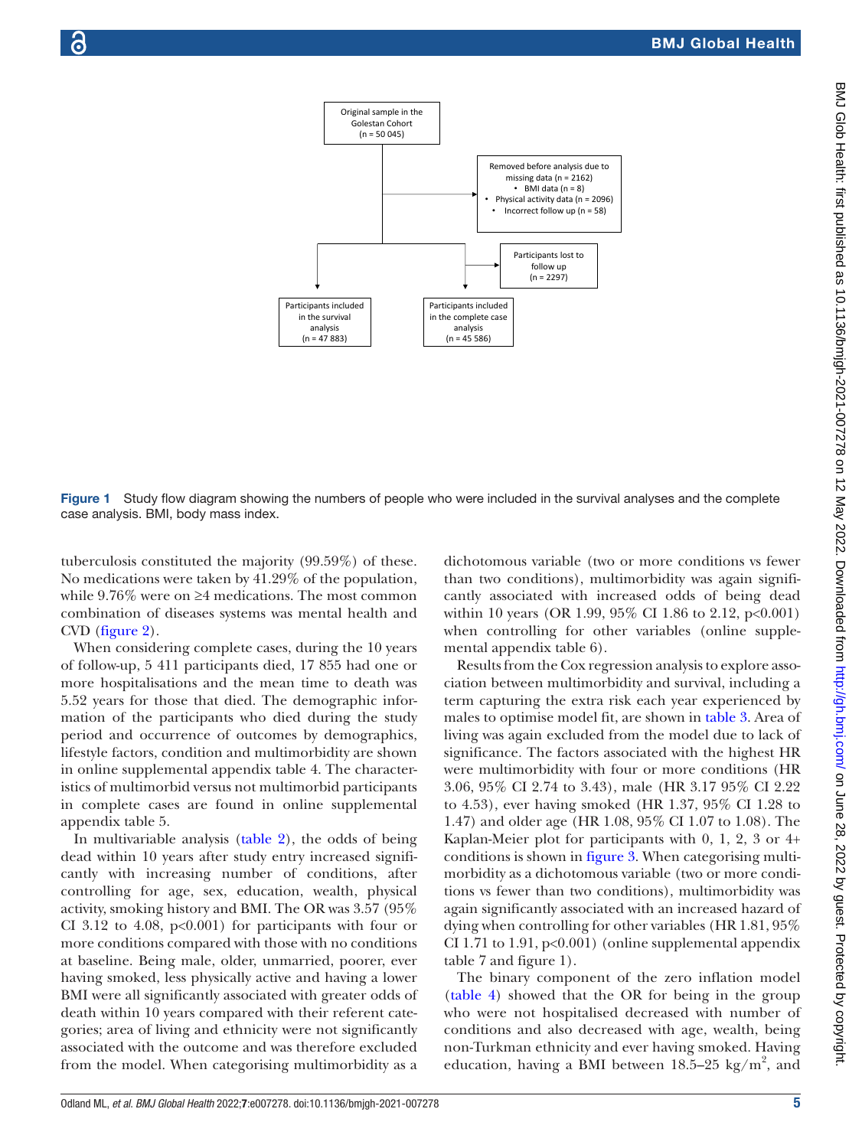

<span id="page-4-0"></span>Figure 1 Study flow diagram showing the numbers of people who were included in the survival analyses and the complete case analysis. BMI, body mass index.

tuberculosis constituted the majority (99.59%) of these. No medications were taken by 41.29% of the population, while 9.76% were on ≥4 medications. The most common combination of diseases systems was mental health and CVD ([figure](#page-7-0) 2).

When considering complete cases, during the 10 years of follow-up, 5 411 participants died, 17 855 had one or more hospitalisations and the mean time to death was 5.52 years for those that died. The demographic information of the participants who died during the study period and occurrence of outcomes by demographics, lifestyle factors, condition and multimorbidity are shown in [online supplemental appendix table 4.](https://dx.doi.org/10.1136/bmjgh-2021-007278) The characteristics of multimorbid versus not multimorbid participants in complete cases are found in [online supplemental](https://dx.doi.org/10.1136/bmjgh-2021-007278) [appendix table 5](https://dx.doi.org/10.1136/bmjgh-2021-007278).

In multivariable analysis ([table](#page-7-1) 2), the odds of being dead within 10 years after study entry increased significantly with increasing number of conditions, after controlling for age, sex, education, wealth, physical activity, smoking history and BMI. The OR was 3.57 (95% CI 3.12 to 4.08,  $p<0.001$ ) for participants with four or more conditions compared with those with no conditions at baseline. Being male, older, unmarried, poorer, ever having smoked, less physically active and having a lower BMI were all significantly associated with greater odds of death within 10 years compared with their referent categories; area of living and ethnicity were not significantly associated with the outcome and was therefore excluded from the model. When categorising multimorbidity as a

dichotomous variable (two or more conditions vs fewer than two conditions), multimorbidity was again significantly associated with increased odds of being dead within 10 years (OR 1.99, 95% CI 1.86 to 2.12, p<0.001) when controlling for other variables ([online supple](https://dx.doi.org/10.1136/bmjgh-2021-007278)[mental appendix table 6\)](https://dx.doi.org/10.1136/bmjgh-2021-007278).

Results from the Cox regression analysis to explore association between multimorbidity and survival, including a term capturing the extra risk each year experienced by males to optimise model fit, are shown in [table](#page-8-0) 3. Area of living was again excluded from the model due to lack of significance. The factors associated with the highest HR were multimorbidity with four or more conditions (HR 3.06, 95% CI 2.74 to 3.43), male (HR 3.17 95% CI 2.22 to 4.53), ever having smoked (HR 1.37, 95% CI 1.28 to 1.47) and older age (HR 1.08, 95% CI 1.07 to 1.08). The Kaplan-Meier plot for participants with 0, 1, 2, 3 or 4+ conditions is shown in [figure](#page-9-0) 3. When categorising multimorbidity as a dichotomous variable (two or more conditions vs fewer than two conditions), multimorbidity was again significantly associated with an increased hazard of dying when controlling for other variables (HR 1.81, 95% CI 1.71 to 1.91, p<0.001) ([online supplemental appendix](https://dx.doi.org/10.1136/bmjgh-2021-007278) [table 7 and figure 1\)](https://dx.doi.org/10.1136/bmjgh-2021-007278).

The binary component of the zero inflation model [\(table](#page-10-0) 4) showed that the OR for being in the group who were not hospitalised decreased with number of conditions and also decreased with age, wealth, being non-Turkman ethnicity and ever having smoked. Having education, having a BMI between  $18.5-25$  kg/m<sup>2</sup>, and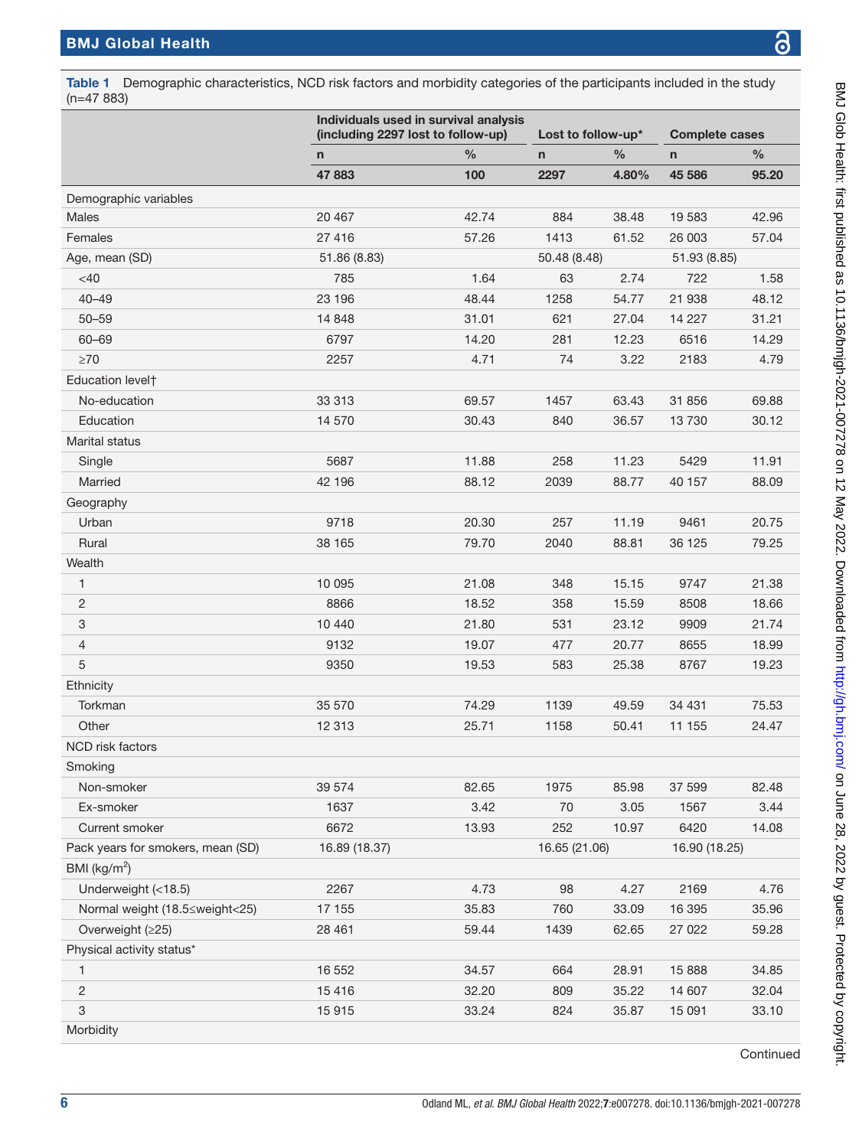(n=47 883)

BMJ Glob Health: first published as 10.1136/bmjgh-2021-007278 on 12 May 2022. Downloaded from http://gh.bmj.com/ on June 28, 2022 by guest. Protected by copyright BMJ Glob Health: first published as 10.1136/bmjgh-2021-007278 on 12 May 2022. Downloaded from <http://gh.bmj.com/> on June 28, 2022 by guest. Protected by copyright

Individuals used in survival analysis (including 2297 lost to follow-up) Lost to follow-up\* Complete cases n % n % n % 47 883 100 2297 4.80% 45 586 95.20 Demographic variables Males 20 467 42.74 884 38.48 19 583 42.96 Females 27 416 57.26 1413 61.52 26 003 57.04 Age, mean (SD) 51.86 (8.83) 50.48 (8.48) 51.93 (8.85) <40 785 1.64 63 2.74 722 1.58 40–49 23 196 48.44 1258 54.77 21 938 48.12 50–59 14 848 31.01 621 27.04 14 227 31.21 60–69 6797 14.20 281 12.23 6516 14.29 ≥70 2257 4.71 74 3.22 2183 4.79 Education level† No-education 33 313 69.57 1457 63.43 31 856 69.88 Education 14 570 30.43 840 36.57 13 730 30.12 Marital status Single 5687 11.88 258 11.23 5429 11.91 Married 42 196 88.12 2039 88.77 40 157 88.09 Geography Urban 9718 20.30 257 11.19 9461 20.75 Rural 38 165 79.70 2040 88.81 36 125 79.25 **Wealth** 1 10 095 21.08 348 15.15 9747 21.38 2 8866 18.52 358 15.59 8508 18.66 3 10 440 21.80 531 23.12 9909 21.74 4 9132 19.07 477 20.77 8655 18.99 5 9350 19.53 583 25.38 8767 19.23 **Ethnicity** Torkman 35 570 74.29 1139 49.59 34 431 75.53 Other 12 313 25.71 1158 50.41 11 155 24.47 NCD risk factors Smoking Non-smoker 39 574 82.65 1975 85.98 37 599 82.48 Ex-smoker 1637 3.42 70 3.05 1567 3.44 Current smoker 6672 13.93 252 10.97 6420 14.08 Pack years for smokers, mean (SD) 16.89 (18.37) 16.65 (21.06) 16.90 (18.25) BMI ( $\text{kg/m}^2$ ) Underweight (<18.5) 2267 4.73 98 4.27 2169 4.76 Normal weight (18.5≤weight<25) 17 155 35.83 760 33.09 16 395 35.96 Overweight (≥25) 28 461 59.44 1439 62.65 27 022 59.28 Physical activity status\* 1 16 552 34.57 664 28.91 15 888 34.85 2 15 416 32.20 809 35.22 14 607 32.04 3 15 915 33.24 824 35.87 15 091 33.10

**Continued** 

<span id="page-5-0"></span>Table 1 Demographic characteristics, NCD risk factors and morbidity categories of the participants included in the study

**Morbidity**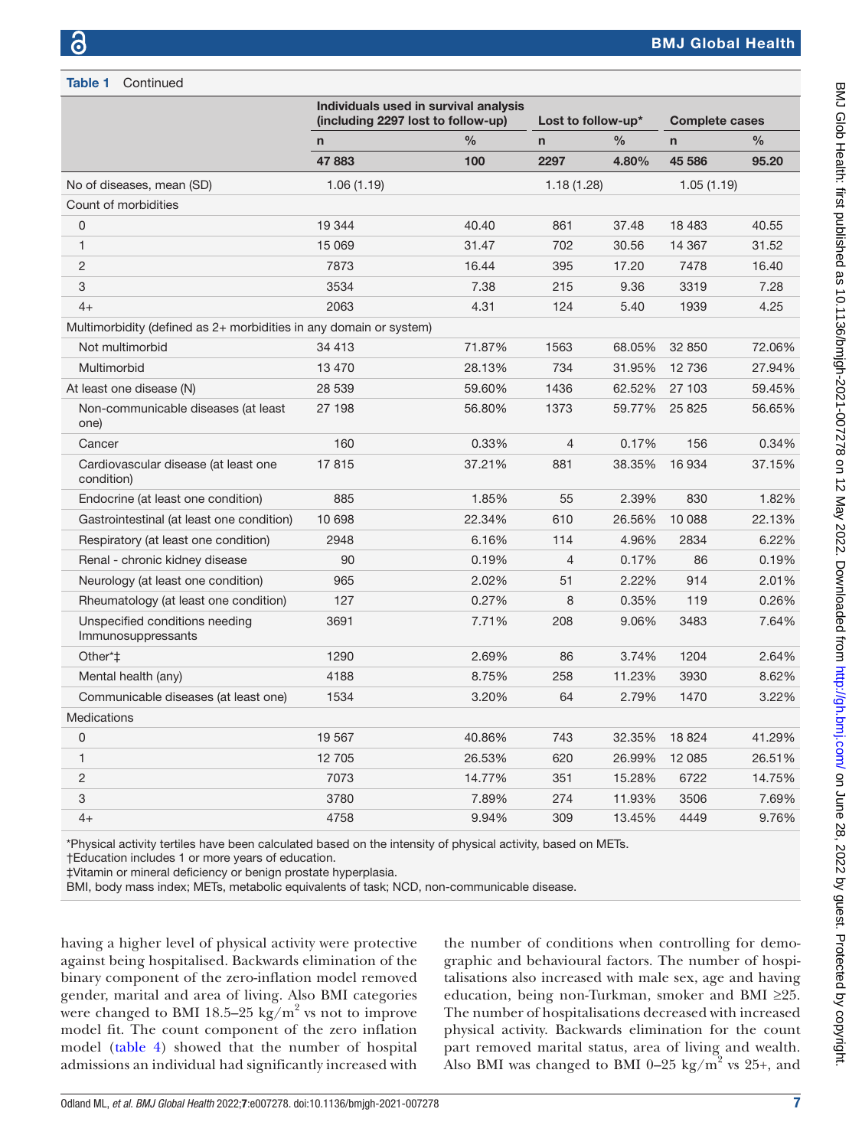Table 1 Continued

|                                                                    | Individuals used in survival analysis<br>(including 2297 lost to follow-up) |               | Lost to follow-up* |               | <b>Complete cases</b> |               |
|--------------------------------------------------------------------|-----------------------------------------------------------------------------|---------------|--------------------|---------------|-----------------------|---------------|
|                                                                    | n                                                                           | $\frac{0}{0}$ | $\mathsf{n}$       | $\frac{0}{0}$ | $\mathsf{n}$          | $\frac{0}{0}$ |
|                                                                    | 47883                                                                       | 100           | 2297               | 4.80%         | 45 586                | 95.20         |
| No of diseases, mean (SD)                                          | 1.06(1.19)                                                                  |               | 1.18(1.28)         |               | 1.05(1.19)            |               |
| Count of morbidities                                               |                                                                             |               |                    |               |                       |               |
| 0                                                                  | 19 344                                                                      | 40.40         | 861                | 37.48         | 18 4 83               | 40.55         |
| $\mathbf{1}$                                                       | 15 069                                                                      | 31.47         | 702                | 30.56         | 14 3 6 7              | 31.52         |
| $\overline{c}$                                                     | 7873                                                                        | 16.44         | 395                | 17.20         | 7478                  | 16.40         |
| 3                                                                  | 3534                                                                        | 7.38          | 215                | 9.36          | 3319                  | 7.28          |
| $4+$                                                               | 2063                                                                        | 4.31          | 124                | 5.40          | 1939                  | 4.25          |
| Multimorbidity (defined as 2+ morbidities in any domain or system) |                                                                             |               |                    |               |                       |               |
| Not multimorbid                                                    | 34 413                                                                      | 71.87%        | 1563               | 68.05%        | 32 850                | 72.06%        |
| Multimorbid                                                        | 13 4 70                                                                     | 28.13%        | 734                | 31.95%        | 12 736                | 27.94%        |
| At least one disease (N)                                           | 28 539                                                                      | 59.60%        | 1436               | 62.52%        | 27 103                | 59.45%        |
| Non-communicable diseases (at least<br>one)                        | 27 198                                                                      | 56.80%        | 1373               | 59.77%        | 25 8 25               | 56.65%        |
| Cancer                                                             | 160                                                                         | 0.33%         | $\overline{4}$     | 0.17%         | 156                   | 0.34%         |
| Cardiovascular disease (at least one<br>condition)                 | 17815                                                                       | 37.21%        | 881                | 38.35%        | 16 934                | 37.15%        |
| Endocrine (at least one condition)                                 | 885                                                                         | 1.85%         | 55                 | 2.39%         | 830                   | 1.82%         |
| Gastrointestinal (at least one condition)                          | 10 698                                                                      | 22.34%        | 610                | 26.56%        | 10 088                | 22.13%        |
| Respiratory (at least one condition)                               | 2948                                                                        | 6.16%         | 114                | 4.96%         | 2834                  | 6.22%         |
| Renal - chronic kidney disease                                     | 90                                                                          | 0.19%         | $\overline{4}$     | 0.17%         | 86                    | 0.19%         |
| Neurology (at least one condition)                                 | 965                                                                         | 2.02%         | 51                 | 2.22%         | 914                   | 2.01%         |
| Rheumatology (at least one condition)                              | 127                                                                         | 0.27%         | 8                  | 0.35%         | 119                   | 0.26%         |
| Unspecified conditions needing<br>Immunosuppressants               | 3691                                                                        | 7.71%         | 208                | 9.06%         | 3483                  | 7.64%         |
| Other*‡                                                            | 1290                                                                        | 2.69%         | 86                 | 3.74%         | 1204                  | 2.64%         |
| Mental health (any)                                                | 4188                                                                        | 8.75%         | 258                | 11.23%        | 3930                  | 8.62%         |
| Communicable diseases (at least one)                               | 1534                                                                        | 3.20%         | 64                 | 2.79%         | 1470                  | 3.22%         |
| <b>Medications</b>                                                 |                                                                             |               |                    |               |                       |               |
| 0                                                                  | 19 5 67                                                                     | 40.86%        | 743                | 32.35%        | 18824                 | 41.29%        |
| $\mathbf{1}$                                                       | 12 705                                                                      | 26.53%        | 620                | 26.99%        | 12 085                | 26.51%        |
| 2                                                                  | 7073                                                                        | 14.77%        | 351                | 15.28%        | 6722                  | 14.75%        |
| 3                                                                  | 3780                                                                        | 7.89%         | 274                | 11.93%        | 3506                  | 7.69%         |
| $4+$                                                               | 4758                                                                        | 9.94%         | 309                | 13.45%        | 4449                  | 9.76%         |

\*Physical activity tertiles have been calculated based on the intensity of physical activity, based on METs.

†Education includes 1 or more years of education.

‡Vitamin or mineral deficiency or benign prostate hyperplasia.

BMI, body mass index; METs, metabolic equivalents of task; NCD, non-communicable disease.

having a higher level of physical activity were protective against being hospitalised. Backwards elimination of the binary component of the zero-inflation model removed gender, marital and area of living. Also BMI categories were changed to BMI 18.5–25 kg/ $m^2$  vs not to improve model fit. The count component of the zero inflation model [\(table](#page-10-0) 4) showed that the number of hospital admissions an individual had significantly increased with

the number of conditions when controlling for demographic and behavioural factors. The number of hospitalisations also increased with male sex, age and having education, being non-Turkman, smoker and BMI ≥25. The number of hospitalisations decreased with increased physical activity. Backwards elimination for the count part removed marital status, area of living and wealth. Also BMI was changed to BMI 0-25 kg/ $m^2$  vs 25+, and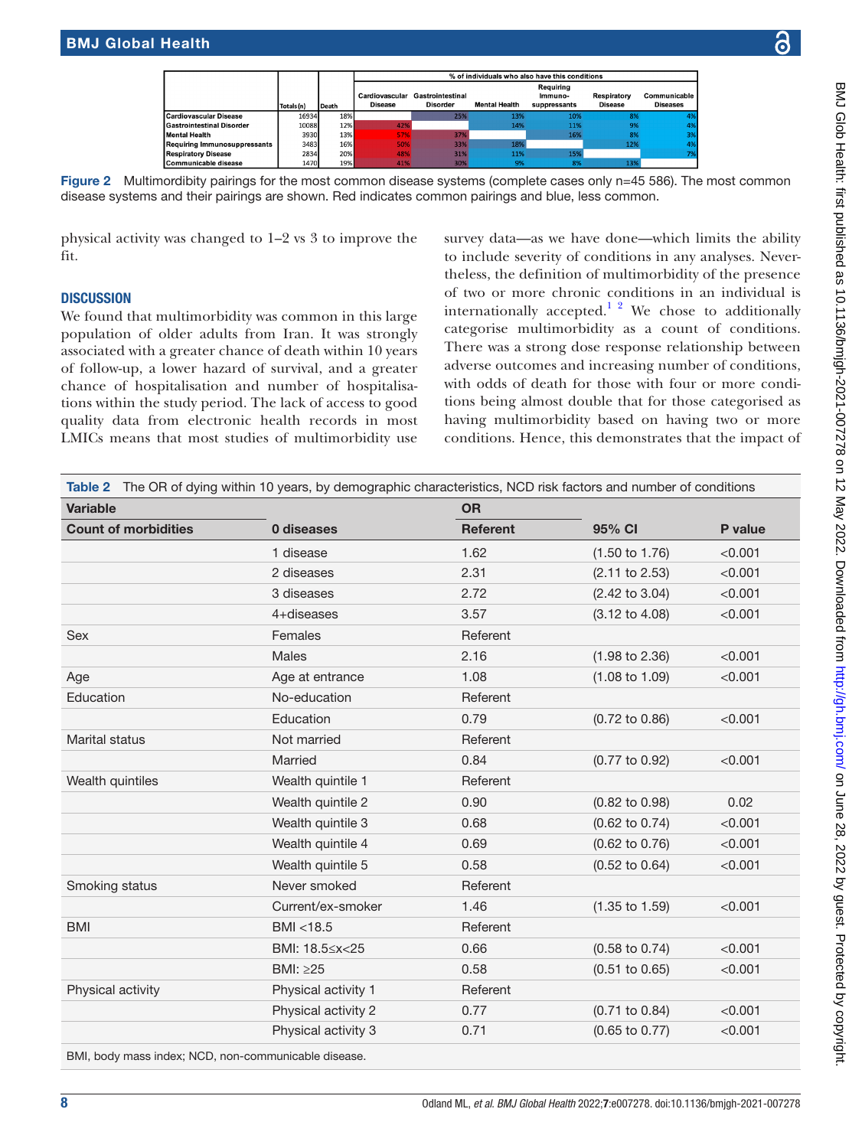<span id="page-7-0"></span>

Figure 2 Multimordibity pairings for the most common disease systems (complete cases only n=45 586). The most common disease systems and their pairings are shown. Red indicates common pairings and blue, less common.

physical activity was changed to 1–2 vs 3 to improve the fit.

#### **DISCUSSION**

We found that multimorbidity was common in this large population of older adults from Iran. It was strongly associated with a greater chance of death within 10 years of follow-up, a lower hazard of survival, and a greater chance of hospitalisation and number of hospitalisations within the study period. The lack of access to good quality data from electronic health records in most LMICs means that most studies of multimorbidity use

survey data—as we have done—which limits the ability to include severity of conditions in any analyses. Nevertheless, the definition of multimorbidity of the presence of two or more chronic conditions in an individual is internationally accepted.<sup>1</sup> <sup>2</sup> We chose to additionally categorise multimorbidity as a count of conditions. There was a strong dose response relationship between adverse outcomes and increasing number of conditions, with odds of death for those with four or more conditions being almost double that for those categorised as having multimorbidity based on having two or more conditions. Hence, this demonstrates that the impact of

<span id="page-7-1"></span>

| <b>Variable</b>             |                      | <b>OR</b>       |                           |         |
|-----------------------------|----------------------|-----------------|---------------------------|---------|
| <b>Count of morbidities</b> | 0 diseases           | <b>Referent</b> | 95% CI                    | P value |
|                             | 1 disease            | 1.62            | $(1.50 \text{ to } 1.76)$ | < 0.001 |
|                             | 2 diseases           | 2.31            | $(2.11$ to $2.53)$        | < 0.001 |
|                             | 3 diseases           | 2.72            | $(2.42 \text{ to } 3.04)$ | < 0.001 |
|                             | 4+diseases           | 3.57            | $(3.12 \text{ to } 4.08)$ | < 0.001 |
| <b>Sex</b>                  | Females              | Referent        |                           |         |
|                             | Males                | 2.16            | $(1.98 \text{ to } 2.36)$ | < 0.001 |
| Age                         | Age at entrance      | 1.08            | $(1.08 \text{ to } 1.09)$ | < 0.001 |
| Education                   | No-education         | Referent        |                           |         |
|                             | Education            | 0.79            | $(0.72 \text{ to } 0.86)$ | < 0.001 |
| <b>Marital status</b>       | Not married          | Referent        |                           |         |
|                             | Married              | 0.84            | (0.77 to 0.92)            | < 0.001 |
| Wealth quintiles            | Wealth quintile 1    | Referent        |                           |         |
|                             | Wealth quintile 2    | 0.90            | $(0.82 \text{ to } 0.98)$ | 0.02    |
|                             | Wealth quintile 3    | 0.68            | $(0.62 \text{ to } 0.74)$ | < 0.001 |
|                             | Wealth quintile 4    | 0.69            | $(0.62 \text{ to } 0.76)$ | < 0.001 |
|                             | Wealth quintile 5    | 0.58            | $(0.52 \text{ to } 0.64)$ | < 0.001 |
| Smoking status              | Never smoked         | Referent        |                           |         |
|                             | Current/ex-smoker    | 1.46            | $(1.35 \text{ to } 1.59)$ | < 0.001 |
| <b>BMI</b>                  | BMI <18.5            | Referent        |                           |         |
|                             | BMI: 18.5 \/> x < 25 | 0.66            | $(0.58 \text{ to } 0.74)$ | < 0.001 |
|                             | BMI: ≥25             | 0.58            | $(0.51$ to $0.65)$        | < 0.001 |
| Physical activity           | Physical activity 1  | Referent        |                           |         |
|                             | Physical activity 2  | 0.77            | $(0.71$ to $0.84)$        | < 0.001 |
|                             | Physical activity 3  | 0.71            | $(0.65 \text{ to } 0.77)$ | < 0.001 |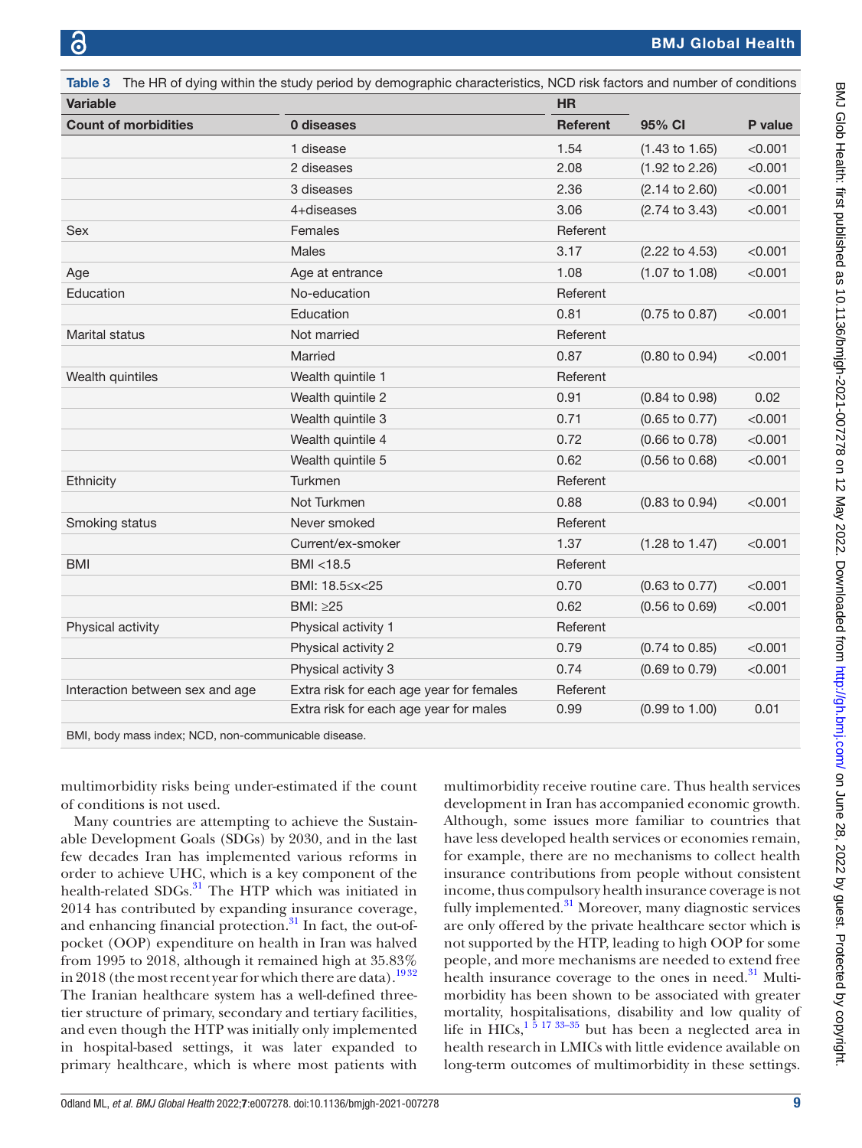<span id="page-8-0"></span>

|                                 | Table 3 The HR of dying within the study period by demographic characteristics, NCD risk factors and number of conditions |                 |                           |         |  |
|---------------------------------|---------------------------------------------------------------------------------------------------------------------------|-----------------|---------------------------|---------|--|
| <b>Variable</b>                 |                                                                                                                           | <b>HR</b>       |                           |         |  |
| <b>Count of morbidities</b>     | 0 diseases                                                                                                                | <b>Referent</b> | 95% CI                    | P value |  |
|                                 | 1 disease                                                                                                                 | 1.54            | $(1.43 \text{ to } 1.65)$ | < 0.001 |  |
|                                 | 2 diseases                                                                                                                | 2.08            | $(1.92 \text{ to } 2.26)$ | < 0.001 |  |
|                                 | 3 diseases                                                                                                                | 2.36            | $(2.14 \text{ to } 2.60)$ | < 0.001 |  |
|                                 | 4+diseases                                                                                                                | 3.06            | $(2.74 \text{ to } 3.43)$ | < 0.001 |  |
| Sex                             | Females                                                                                                                   | Referent        |                           |         |  |
|                                 | <b>Males</b>                                                                                                              | 3.17            | $(2.22 \text{ to } 4.53)$ | < 0.001 |  |
| Age                             | Age at entrance                                                                                                           | 1.08            | $(1.07 \text{ to } 1.08)$ | < 0.001 |  |
| Education                       | No-education                                                                                                              | Referent        |                           |         |  |
|                                 | Education                                                                                                                 | 0.81            | $(0.75 \text{ to } 0.87)$ | < 0.001 |  |
| Marital status                  | Not married                                                                                                               | Referent        |                           |         |  |
|                                 | Married                                                                                                                   | 0.87            | $(0.80 \text{ to } 0.94)$ | < 0.001 |  |
| Wealth quintiles                | Wealth quintile 1                                                                                                         | Referent        |                           |         |  |
|                                 | Wealth quintile 2                                                                                                         | 0.91            | $(0.84 \text{ to } 0.98)$ | 0.02    |  |
|                                 | Wealth quintile 3                                                                                                         | 0.71            | $(0.65 \text{ to } 0.77)$ | < 0.001 |  |
|                                 | Wealth quintile 4                                                                                                         | 0.72            | $(0.66 \text{ to } 0.78)$ | < 0.001 |  |
|                                 | Wealth quintile 5                                                                                                         | 0.62            | $(0.56 \text{ to } 0.68)$ | < 0.001 |  |
| Ethnicity                       | Turkmen                                                                                                                   | Referent        |                           |         |  |
|                                 | Not Turkmen                                                                                                               | 0.88            | $(0.83 \text{ to } 0.94)$ | < 0.001 |  |
| Smoking status                  | Never smoked                                                                                                              | Referent        |                           |         |  |
|                                 | Current/ex-smoker                                                                                                         | 1.37            | $(1.28 \text{ to } 1.47)$ | < 0.001 |  |
| <b>BMI</b>                      | BMI <18.5                                                                                                                 | Referent        |                           |         |  |
|                                 | BMI: 18.5 \/> x < 25                                                                                                      | 0.70            | $(0.63 \text{ to } 0.77)$ | < 0.001 |  |
|                                 | BMI: ≥25                                                                                                                  | 0.62            | $(0.56 \text{ to } 0.69)$ | < 0.001 |  |
| Physical activity               | Physical activity 1                                                                                                       | Referent        |                           |         |  |
|                                 | Physical activity 2                                                                                                       | 0.79            | $(0.74 \text{ to } 0.85)$ | < 0.001 |  |
|                                 | Physical activity 3                                                                                                       | 0.74            | $(0.69 \text{ to } 0.79)$ | < 0.001 |  |
| Interaction between sex and age | Extra risk for each age year for females                                                                                  | Referent        |                           |         |  |
|                                 | Extra risk for each age year for males                                                                                    | 0.99            | $(0.99 \text{ to } 1.00)$ | 0.01    |  |
|                                 |                                                                                                                           |                 |                           |         |  |

BMI, body mass index; NCD, non-communicable disease.

multimorbidity risks being under-estimated if the count of conditions is not used.

Many countries are attempting to achieve the Sustainable Development Goals (SDGs) by 2030, and in the last few decades Iran has implemented various reforms in order to achieve UHC, which is a key component of the health-related SDGs.<sup>31</sup> The HTP which was initiated in 2014 has contributed by expanding insurance coverage, and enhancing financial protection.<sup>31</sup> In fact, the out-ofpocket (OOP) expenditure on health in Iran was halved from 1995 to 2018, although it remained high at 35.83% in 2018 (the most recent year for which there are data).<sup>1932</sup> The Iranian healthcare system has a well-defined threetier structure of primary, secondary and tertiary facilities, and even though the HTP was initially only implemented in hospital-based settings, it was later expanded to primary healthcare, which is where most patients with

multimorbidity receive routine care. Thus health services development in Iran has accompanied economic growth. Although, some issues more familiar to countries that have less developed health services or economies remain, for example, there are no mechanisms to collect health insurance contributions from people without consistent income, thus compulsory health insurance coverage is not fully implemented. $31$  Moreover, many diagnostic services are only offered by the private healthcare sector which is not supported by the HTP, leading to high OOP for some people, and more mechanisms are needed to extend free health insurance coverage to the ones in need. $31$  Multimorbidity has been shown to be associated with greater mortality, hospitalisations, disability and low quality of life in HICs,  $1\frac{5}{17}$  33–35 but has been a neglected area in health research in LMICs with little evidence available on long-term outcomes of multimorbidity in these settings.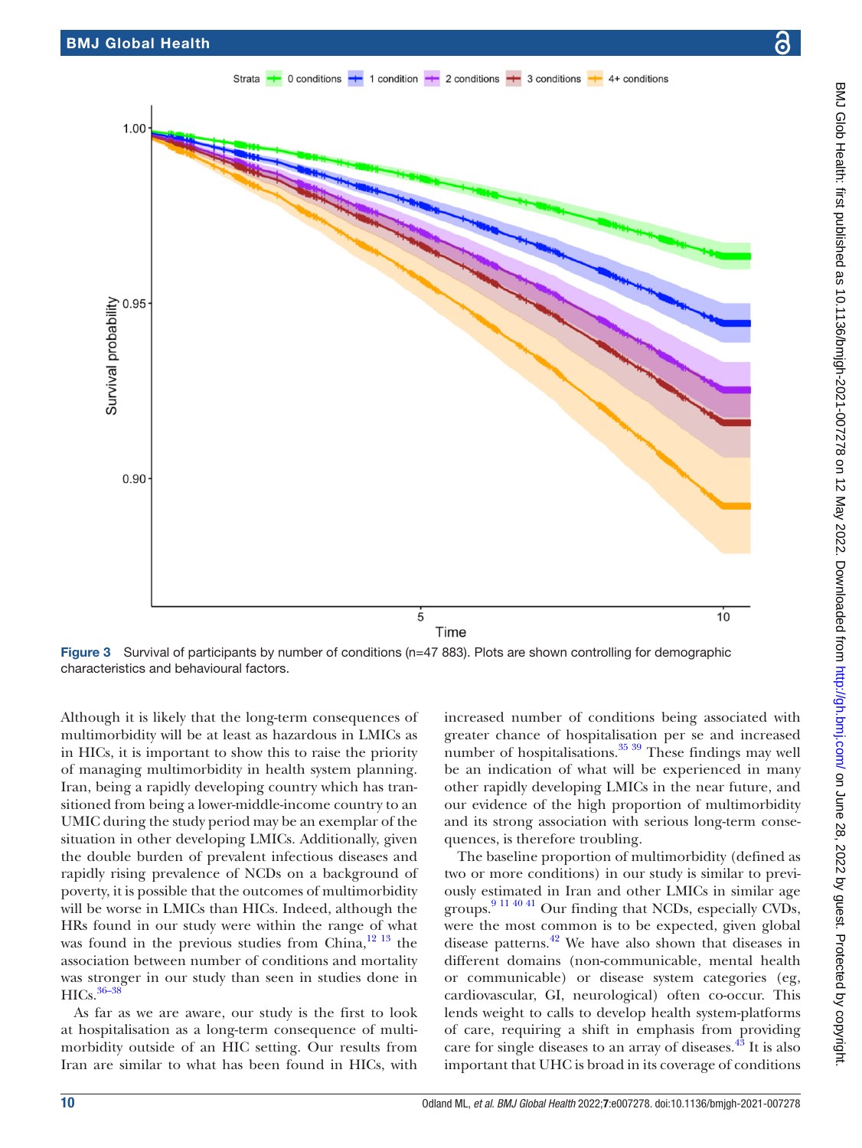1.00

0.95

0.90

Survival probability

Strata 0 conditions  $\rightarrow$  1 condition  $\rightarrow$  2 conditions  $\rightarrow$  3 conditions  $+ 4+$  conditions



<span id="page-9-0"></span>Figure 3 Survival of participants by number of conditions (n=47 883). Plots are shown controlling for demographic characteristics and behavioural factors.

Although it is likely that the long-term consequences of multimorbidity will be at least as hazardous in LMICs as in HICs, it is important to show this to raise the priority of managing multimorbidity in health system planning. Iran, being a rapidly developing country which has transitioned from being a lower-middle-income country to an UMIC during the study period may be an exemplar of the situation in other developing LMICs. Additionally, given the double burden of prevalent infectious diseases and rapidly rising prevalence of NCDs on a background of poverty, it is possible that the outcomes of multimorbidity will be worse in LMICs than HICs. Indeed, although the HRs found in our study were within the range of what was found in the previous studies from China, $12^{13}$  the association between number of conditions and mortality was stronger in our study than seen in studies done in HICs.<sup>36-38</sup>

As far as we are aware, our study is the first to look at hospitalisation as a long-term consequence of multimorbidity outside of an HIC setting. Our results from Iran are similar to what has been found in HICs, with

increased number of conditions being associated with greater chance of hospitalisation per se and increased number of hospitalisations. $35\frac{39}{10}$  These findings may well be an indication of what will be experienced in many other rapidly developing LMICs in the near future, and our evidence of the high proportion of multimorbidity and its strong association with serious long-term consequences, is therefore troubling.

The baseline proportion of multimorbidity (defined as two or more conditions) in our study is similar to previously estimated in Iran and other LMICs in similar age groups.<sup>[9 11 40 41](#page-12-7)</sup> Our finding that NCDs, especially CVDs, were the most common is to be expected, given global disease patterns. $^{42}$  We have also shown that diseases in different domains (non-communicable, mental health or communicable) or disease system categories (eg, cardiovascular, GI, neurological) often co-occur. This lends weight to calls to develop health system-platforms of care, requiring a shift in emphasis from providing care for single diseases to an array of diseases.<sup>43</sup> It is also important that UHC is broad in its coverage of conditions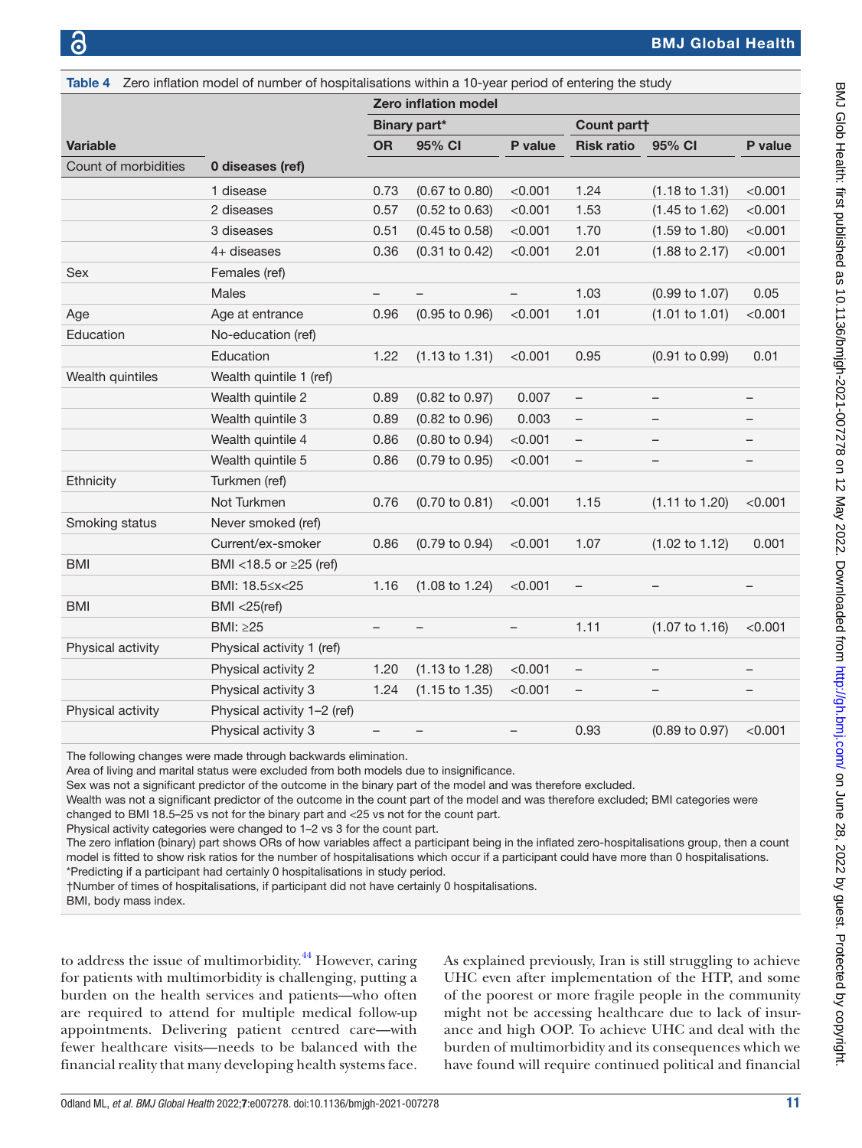<span id="page-10-0"></span>

| Table 4              | Zero inflation model of number of hospitalisations within a 10-year period of entering the study |                             |                           |         |                          |                           |         |  |
|----------------------|--------------------------------------------------------------------------------------------------|-----------------------------|---------------------------|---------|--------------------------|---------------------------|---------|--|
|                      |                                                                                                  | <b>Zero inflation model</b> |                           |         |                          |                           |         |  |
|                      |                                                                                                  | <b>Binary part*</b>         |                           |         | Count part†              |                           |         |  |
| <b>Variable</b>      |                                                                                                  | <b>OR</b>                   | 95% CI                    | P value | <b>Risk ratio</b>        | 95% CI                    | P value |  |
| Count of morbidities | 0 diseases (ref)                                                                                 |                             |                           |         |                          |                           |         |  |
|                      | 1 disease                                                                                        | 0.73                        | $(0.67 \text{ to } 0.80)$ | < 0.001 | 1.24                     | $(1.18 \text{ to } 1.31)$ | < 0.001 |  |
|                      | 2 diseases                                                                                       | 0.57                        | $(0.52 \text{ to } 0.63)$ | < 0.001 | 1.53                     | $(1.45 \text{ to } 1.62)$ | < 0.001 |  |
|                      | 3 diseases                                                                                       | 0.51                        | $(0.45 \text{ to } 0.58)$ | < 0.001 | 1.70                     | $(1.59 \text{ to } 1.80)$ | < 0.001 |  |
|                      | 4+ diseases                                                                                      | 0.36                        | $(0.31 \text{ to } 0.42)$ | < 0.001 | 2.01                     | $(1.88 \text{ to } 2.17)$ | < 0.001 |  |
| Sex                  | Females (ref)                                                                                    |                             |                           |         |                          |                           |         |  |
|                      | Males                                                                                            | -                           | -                         | —       | 1.03                     | $(0.99 \text{ to } 1.07)$ | 0.05    |  |
| Age                  | Age at entrance                                                                                  | 0.96                        | $(0.95 \text{ to } 0.96)$ | < 0.001 | 1.01                     | (1.01 to 1.01)            | < 0.001 |  |
| Education            | No-education (ref)                                                                               |                             |                           |         |                          |                           |         |  |
|                      | Education                                                                                        | 1.22                        | $(1.13 \text{ to } 1.31)$ | < 0.001 | 0.95                     | $(0.91 \text{ to } 0.99)$ | 0.01    |  |
| Wealth quintiles     | Wealth quintile 1 (ref)                                                                          |                             |                           |         |                          |                           |         |  |
|                      | Wealth quintile 2                                                                                | 0.89                        | $(0.82 \text{ to } 0.97)$ | 0.007   | $\overline{\phantom{0}}$ | -                         |         |  |
|                      | Wealth quintile 3                                                                                | 0.89                        | (0.82 to 0.96)            | 0.003   | $\qquad \qquad -$        | —                         |         |  |
|                      | Wealth quintile 4                                                                                | 0.86                        | (0.80 to 0.94)            | < 0.001 | $\qquad \qquad -$        |                           |         |  |
|                      | Wealth quintile 5                                                                                | 0.86                        | $(0.79 \text{ to } 0.95)$ | < 0.001 | $\qquad \qquad -$        | —                         |         |  |
| Ethnicity            | Turkmen (ref)                                                                                    |                             |                           |         |                          |                           |         |  |
|                      | Not Turkmen                                                                                      | 0.76                        | $(0.70 \text{ to } 0.81)$ | < 0.001 | 1.15                     | $(1.11 \text{ to } 1.20)$ | < 0.001 |  |
| Smoking status       | Never smoked (ref)                                                                               |                             |                           |         |                          |                           |         |  |
|                      | Current/ex-smoker                                                                                | 0.86                        | $(0.79 \text{ to } 0.94)$ | < 0.001 | 1.07                     | $(1.02 \text{ to } 1.12)$ | 0.001   |  |
| <b>BMI</b>           | BMI <18.5 or $\geq$ 25 (ref)                                                                     |                             |                           |         |                          |                           |         |  |
|                      | BMI: 18.5≤x<25                                                                                   | 1.16                        | $(1.08 \text{ to } 1.24)$ | < 0.001 | $\qquad \qquad -$        |                           |         |  |
| <b>BMI</b>           | $BMI < 25$ (ref)                                                                                 |                             |                           |         |                          |                           |         |  |
|                      | BMI: ≥25                                                                                         |                             |                           |         | 1.11                     | $(1.07 \text{ to } 1.16)$ | < 0.001 |  |
| Physical activity    | Physical activity 1 (ref)                                                                        |                             |                           |         |                          |                           |         |  |
|                      | Physical activity 2                                                                              | 1.20                        | $(1.13 \text{ to } 1.28)$ | < 0.001 | $\qquad \qquad -$        | $\overline{\phantom{0}}$  |         |  |
|                      | Physical activity 3                                                                              | 1.24                        | $(1.15 \text{ to } 1.35)$ | < 0.001 | $\overline{\phantom{0}}$ | -                         |         |  |
| Physical activity    | Physical activity 1-2 (ref)                                                                      |                             |                           |         |                          |                           |         |  |
|                      | Physical activity 3                                                                              | $\overline{\phantom{0}}$    | —                         |         | 0.93                     | (0.89 to 0.97)            | < 0.001 |  |

The following changes were made through backwards elimination.

Area of living and marital status were excluded from both models due to insignificance.

Sex was not a significant predictor of the outcome in the binary part of the model and was therefore excluded.

Wealth was not a significant predictor of the outcome in the count part of the model and was therefore excluded; BMI categories were changed to BMI 18.5–25 vs not for the binary part and <25 vs not for the count part.

Physical activity categories were changed to 1–2 vs 3 for the count part.

The zero inflation (binary) part shows ORs of how variables affect a participant being in the inflated zero-hospitalisations group, then a count model is fitted to show risk ratios for the number of hospitalisations which occur if a participant could have more than 0 hospitalisations. \*Predicting if a participant had certainly 0 hospitalisations in study period.

†Number of times of hospitalisations, if participant did not have certainly 0 hospitalisations.

BMI, body mass index.

to address the issue of multimorbidity.<sup>44</sup> However, caring for patients with multimorbidity is challenging, putting a burden on the health services and patients—who often are required to attend for multiple medical follow-up appointments. Delivering patient centred care—with fewer healthcare visits—needs to be balanced with the financial reality that many developing health systems face.

As explained previously, Iran is still struggling to achieve UHC even after implementation of the HTP, and some of the poorest or more fragile people in the community might not be accessing healthcare due to lack of insurance and high OOP. To achieve UHC and deal with the burden of multimorbidity and its consequences which we have found will require continued political and financial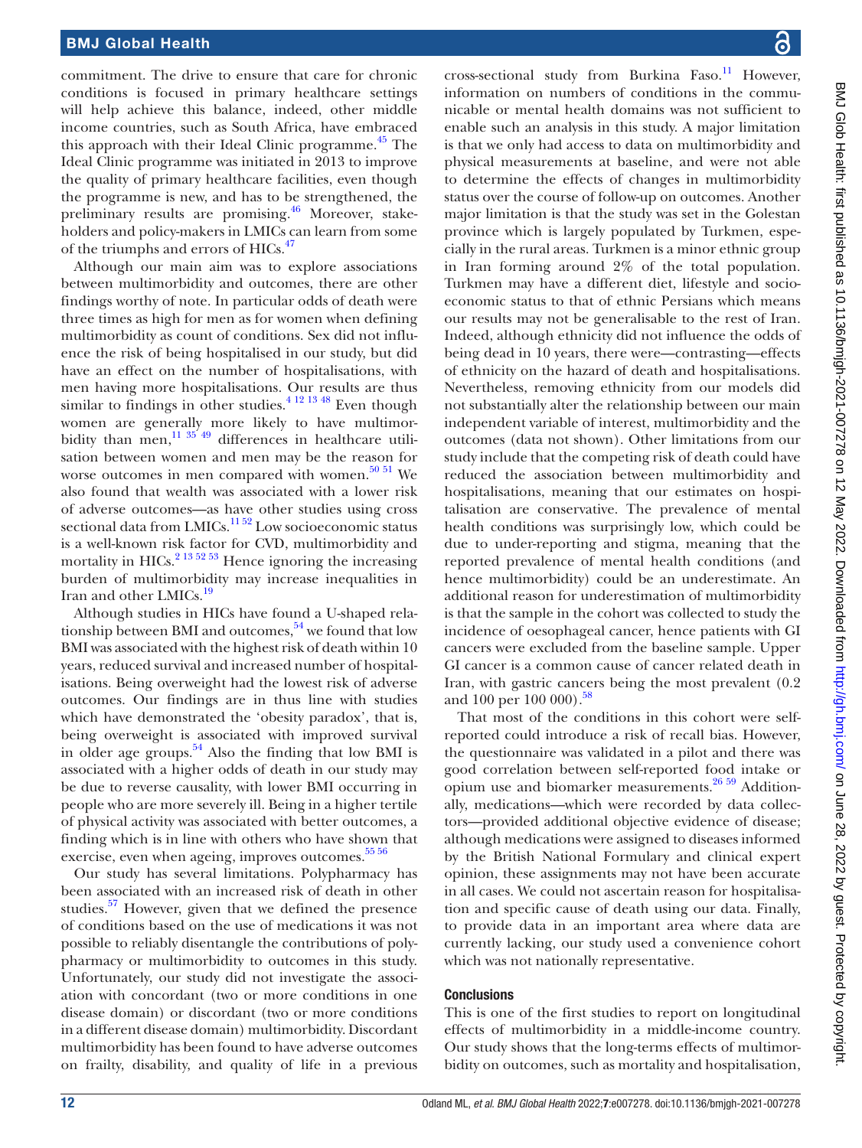commitment. The drive to ensure that care for chronic conditions is focused in primary healthcare settings will help achieve this balance, indeed, other middle income countries, such as South Africa, have embraced this approach with their Ideal Clinic programme. $^{45}$  The Ideal Clinic programme was initiated in 2013 to improve the quality of primary healthcare facilities, even though the programme is new, and has to be strengthened, the preliminary results are promising.<sup>46</sup> Moreover, stakeholders and policy-makers in LMICs can learn from some of the triumphs and errors of HICs.<sup>[47](#page-13-17)</sup>

Although our main aim was to explore associations between multimorbidity and outcomes, there are other findings worthy of note. In particular odds of death were three times as high for men as for women when defining multimorbidity as count of conditions. Sex did not influence the risk of being hospitalised in our study, but did have an effect on the number of hospitalisations, with men having more hospitalisations. Our results are thus similar to findings in other studies.<sup>4 12 13 48</sup> Even though women are generally more likely to have multimorbidity than men,<sup>11 35'49</sup> differences in healthcare utilisation between women and men may be the reason for worse outcomes in men compared with women. $50\,51$  We also found that wealth was associated with a lower risk of adverse outcomes—as have other studies using cross sectional data from LMICs.<sup>1152</sup> Low socioeconomic status is a well-known risk factor for CVD, multimorbidity and mortality in HICs.<sup>[2 13 52 53](#page-12-8)</sup> Hence ignoring the increasing burden of multimorbidity may increase inequalities in Iran and other LMICs.<sup>19</sup>

Although studies in HICs have found a U-shaped relationship between BMI and outcomes,  $54$  we found that low BMI was associated with the highest risk of death within 10 years, reduced survival and increased number of hospitalisations. Being overweight had the lowest risk of adverse outcomes. Our findings are in thus line with studies which have demonstrated the 'obesity paradox', that is, being overweight is associated with improved survival in older age groups.<sup>54</sup> Also the finding that low BMI is associated with a higher odds of death in our study may be due to reverse causality, with lower BMI occurring in people who are more severely ill. Being in a higher tertile of physical activity was associated with better outcomes, a finding which is in line with others who have shown that exercise, even when ageing, improves outcomes.<sup>55 56</sup>

Our study has several limitations. Polypharmacy has been associated with an increased risk of death in other studies. $57$  However, given that we defined the presence of conditions based on the use of medications it was not possible to reliably disentangle the contributions of polypharmacy or multimorbidity to outcomes in this study. Unfortunately, our study did not investigate the association with concordant (two or more conditions in one disease domain) or discordant (two or more conditions in a different disease domain) multimorbidity. Discordant multimorbidity has been found to have adverse outcomes on frailty, disability, and quality of life in a previous

cross-sectional study from Burkina Faso.<sup>11</sup> However, information on numbers of conditions in the communicable or mental health domains was not sufficient to enable such an analysis in this study. A major limitation is that we only had access to data on multimorbidity and physical measurements at baseline, and were not able to determine the effects of changes in multimorbidity status over the course of follow-up on outcomes. Another major limitation is that the study was set in the Golestan province which is largely populated by Turkmen, especially in the rural areas. Turkmen is a minor ethnic group in Iran forming around 2% of the total population. Turkmen may have a different diet, lifestyle and socioeconomic status to that of ethnic Persians which means our results may not be generalisable to the rest of Iran. Indeed, although ethnicity did not influence the odds of being dead in 10 years, there were—contrasting—effects of ethnicity on the hazard of death and hospitalisations. Nevertheless, removing ethnicity from our models did not substantially alter the relationship between our main independent variable of interest, multimorbidity and the outcomes (data not shown). Other limitations from our study include that the competing risk of death could have reduced the association between multimorbidity and hospitalisations, meaning that our estimates on hospitalisation are conservative. The prevalence of mental health conditions was surprisingly low, which could be due to under-reporting and stigma, meaning that the reported prevalence of mental health conditions (and hence multimorbidity) could be an underestimate. An additional reason for underestimation of multimorbidity is that the sample in the cohort was collected to study the incidence of oesophageal cancer, hence patients with GI cancers were excluded from the baseline sample. Upper GI cancer is a common cause of cancer related death in Iran, with gastric cancers being the most prevalent (0.2 and 100 per 100 000).<sup>[58](#page-13-22)</sup>

That most of the conditions in this cohort were selfreported could introduce a risk of recall bias. However, the questionnaire was validated in a pilot and there was good correlation between self-reported food intake or opium use and biomarker measurements.[26 59](#page-13-23) Additionally, medications—which were recorded by data collectors—provided additional objective evidence of disease; although medications were assigned to diseases informed by the British National Formulary and clinical expert opinion, these assignments may not have been accurate in all cases. We could not ascertain reason for hospitalisation and specific cause of death using our data. Finally, to provide data in an important area where data are currently lacking, our study used a convenience cohort which was not nationally representative.

#### **Conclusions**

This is one of the first studies to report on longitudinal effects of multimorbidity in a middle-income country. Our study shows that the long-terms effects of multimorbidity on outcomes, such as mortality and hospitalisation,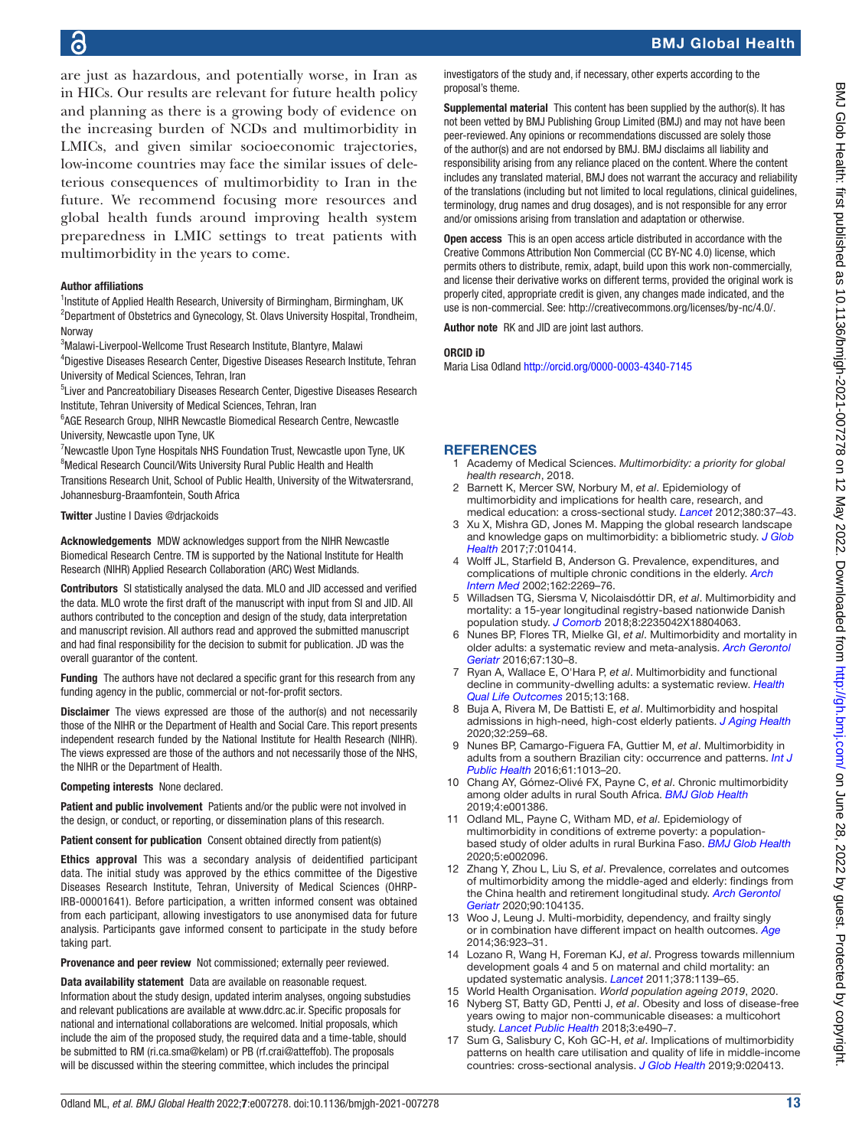## 6

are just as hazardous, and potentially worse, in Iran as in HICs. Our results are relevant for future health policy and planning as there is a growing body of evidence on the increasing burden of NCDs and multimorbidity in LMICs, and given similar socioeconomic trajectories, low-income countries may face the similar issues of deleterious consequences of multimorbidity to Iran in the future. We recommend focusing more resources and global health funds around improving health system preparedness in LMIC settings to treat patients with multimorbidity in the years to come.

#### Author affiliations

<sup>1</sup>Institute of Applied Health Research, University of Birmingham, Birmingham, UK <sup>2</sup>Department of Obstetrics and Gynecology, St. Olavs University Hospital, Trondheim, Norway

3 Malawi-Liverpool-Wellcome Trust Research Institute, Blantyre, Malawi

4 Digestive Diseases Research Center, Digestive Diseases Research Institute, Tehran University of Medical Sciences, Tehran, Iran

<sup>5</sup> Liver and Pancreatobiliary Diseases Research Center, Digestive Diseases Research Institute, Tehran University of Medical Sciences, Tehran, Iran

<sup>6</sup>AGE Research Group, NIHR Newcastle Biomedical Research Centre, Newcastle University, Newcastle upon Tyne, UK

<sup>7</sup>Newcastle Upon Tyne Hospitals NHS Foundation Trust, Newcastle upon Tyne, UK <sup>8</sup>Medical Research Council/Wits University Rural Public Health and Health Transitions Research Unit, School of Public Health, University of the Witwatersrand, Johannesburg-Braamfontein, South Africa

#### Twitter Justine I Davies [@drjackoids](https://twitter.com/drjackoids)

Acknowledgements MDW acknowledges support from the NIHR Newcastle Biomedical Research Centre. TM is supported by the National Institute for Health Research (NIHR) Applied Research Collaboration (ARC) West Midlands.

Contributors SI statistically analysed the data. MLO and JID accessed and verified the data. MLO wrote the first draft of the manuscript with input from SI and JID. All authors contributed to the conception and design of the study, data interpretation and manuscript revision. All authors read and approved the submitted manuscript and had final responsibility for the decision to submit for publication. JD was the overall guarantor of the content.

Funding The authors have not declared a specific grant for this research from any funding agency in the public, commercial or not-for-profit sectors.

**Disclaimer** The views expressed are those of the author(s) and not necessarily those of the NIHR or the Department of Health and Social Care. This report presents independent research funded by the National Institute for Health Research (NIHR). The views expressed are those of the authors and not necessarily those of the NHS, the NIHR or the Department of Health.

Competing interests None declared.

Patient and public involvement Patients and/or the public were not involved in the design, or conduct, or reporting, or dissemination plans of this research.

Patient consent for publication Consent obtained directly from patient(s)

Ethics approval This was a secondary analysis of deidentified participant data. The initial study was approved by the ethics committee of the Digestive Diseases Research Institute, Tehran, University of Medical Sciences (OHRP-IRB-00001641). Before participation, a written informed consent was obtained from each participant, allowing investigators to use anonymised data for future analysis. Participants gave informed consent to participate in the study before taking part.

Provenance and peer review Not commissioned; externally peer reviewed.

Data availability statement Data are available on reasonable request. Information about the study design, updated interim analyses, ongoing substudies and relevant publications are available at [www.ddrc.ac.ir.](www.ddrc.ac.ir) Specific proposals for national and international collaborations are welcomed. Initial proposals, which include the aim of the proposed study, the required data and a time-table, should be submitted to RM (ri.ca.sma@kelam) or PB (rf.crai@atteffob). The proposals will be discussed within the steering committee, which includes the principal

investigators of the study and, if necessary, other experts according to the proposal's theme.

Supplemental material This content has been supplied by the author(s). It has not been vetted by BMJ Publishing Group Limited (BMJ) and may not have been peer-reviewed. Any opinions or recommendations discussed are solely those of the author(s) and are not endorsed by BMJ. BMJ disclaims all liability and responsibility arising from any reliance placed on the content. Where the content includes any translated material, BMJ does not warrant the accuracy and reliability of the translations (including but not limited to local regulations, clinical guidelines, terminology, drug names and drug dosages), and is not responsible for any error and/or omissions arising from translation and adaptation or otherwise.

Open access This is an open access article distributed in accordance with the Creative Commons Attribution Non Commercial (CC BY-NC 4.0) license, which permits others to distribute, remix, adapt, build upon this work non-commercially, and license their derivative works on different terms, provided the original work is properly cited, appropriate credit is given, any changes made indicated, and the use is non-commercial. See:<http://creativecommons.org/licenses/by-nc/4.0/>.

Author note RK and JID are joint last authors.

#### ORCID iD

Maria Lisa Odland<http://orcid.org/0000-0003-4340-7145>

#### **REFERENCES**

- <span id="page-12-0"></span>1 Academy of Medical Sciences. *Multimorbidity: a priority for global health research*, 2018.
- <span id="page-12-8"></span>2 Barnett K, Mercer SW, Norbury M, *et al*. Epidemiology of multimorbidity and implications for health care, research, and medical education: a cross-sectional study. *[Lancet](http://dx.doi.org/10.1016/S0140-6736(12)60240-2)* 2012;380:37–43.
- 3 Xu X, Mishra GD, Jones M. Mapping the global research landscape and knowledge gaps on multimorbidity: a bibliometric study. *[J Glob](http://dx.doi.org/10.7189/jogh.07.010414)  [Health](http://dx.doi.org/10.7189/jogh.07.010414)* 2017;7:010414.
- <span id="page-12-1"></span>4 Wolff JL, Starfield B, Anderson G. Prevalence, expenditures, and complications of multiple chronic conditions in the elderly. *[Arch](http://dx.doi.org/10.1001/archinte.162.20.2269)  [Intern Med](http://dx.doi.org/10.1001/archinte.162.20.2269)* 2002;162:2269–76.
- 5 Willadsen TG, Siersma V, Nicolaisdóttir DR, *et al*. Multimorbidity and mortality: a 15-year longitudinal registry-based nationwide Danish population study. *[J Comorb](http://dx.doi.org/10.1177/2235042X18804063)* 2018;8:2235042X18804063.
- 6 Nunes BP, Flores TR, Mielke GI, *et al*. Multimorbidity and mortality in older adults: a systematic review and meta-analysis. *[Arch Gerontol](http://dx.doi.org/10.1016/j.archger.2016.07.008)  [Geriatr](http://dx.doi.org/10.1016/j.archger.2016.07.008)* 2016;67:130–8.
- 7 Ryan A, Wallace E, O'Hara P, *et al*. Multimorbidity and functional decline in community-dwelling adults: a systematic review. *[Health](http://dx.doi.org/10.1186/s12955-015-0355-9)  [Qual Life Outcomes](http://dx.doi.org/10.1186/s12955-015-0355-9)* 2015;13:168.
- 8 Buja A, Rivera M, De Battisti E, *et al*. Multimorbidity and hospital admissions in high-need, high-cost elderly patients. *[J Aging Health](http://dx.doi.org/10.1177/0898264318817091)* 2020;32:259–68.
- <span id="page-12-7"></span>9 Nunes BP, Camargo-Figuera FA, Guttier M, *et al*. Multimorbidity in adults from a southern Brazilian city: occurrence and patterns. *[Int J](http://dx.doi.org/10.1007/s00038-016-0819-7)  [Public Health](http://dx.doi.org/10.1007/s00038-016-0819-7)* 2016;61:1013–20.
- <span id="page-12-5"></span>10 Chang AY, Gómez-Olivé FX, Payne C, *et al*. Chronic multimorbidity among older adults in rural South Africa. *[BMJ Glob Health](http://dx.doi.org/10.1136/bmjgh-2018-001386)* 2019;4:e001386.
- <span id="page-12-4"></span>11 Odland ML, Payne C, Witham MD, *et al*. Epidemiology of multimorbidity in conditions of extreme poverty: a populationbased study of older adults in rural Burkina Faso. *[BMJ Glob Health](http://dx.doi.org/10.1136/bmjgh-2019-002096)* 2020;5:e002096.
- <span id="page-12-6"></span>12 Zhang Y, Zhou L, Liu S, *et al*. Prevalence, correlates and outcomes of multimorbidity among the middle-aged and elderly: findings from the China health and retirement longitudinal study. *[Arch Gerontol](http://dx.doi.org/10.1016/j.archger.2020.104135)  [Geriatr](http://dx.doi.org/10.1016/j.archger.2020.104135)* 2020;90:104135.
- 13 Woo J, Leung J. Multi-morbidity, dependency, and frailty singly or in combination have different impact on health outcomes. *[Age](http://dx.doi.org/10.1007/s11357-013-9590-3)* 2014;36:923–31.
- <span id="page-12-2"></span>14 Lozano R, Wang H, Foreman KJ, *et al*. Progress towards millennium development goals 4 and 5 on maternal and child mortality: an updated systematic analysis. *[Lancet](http://dx.doi.org/10.1016/S0140-6736(11)61337-8)* 2011;378:1139–65.
- <span id="page-12-3"></span>15 World Health Organisation. *World population ageing 2019*, 2020.
- 16 Nyberg ST, Batty GD, Pentti J, *et al*. Obesity and loss of disease-free years owing to major non-communicable diseases: a multicohort study. *[Lancet Public Health](http://dx.doi.org/10.1016/S2468-2667(18)30139-7)* 2018;3:e490–7.
- 17 Sum G, Salisbury C, Koh GC-H, *et al*. Implications of multimorbidity patterns on health care utilisation and quality of life in middle-income countries: cross-sectional analysis. *[J Glob Health](http://dx.doi.org/10.7189/jogh.09.020413)* 2019;9:020413.